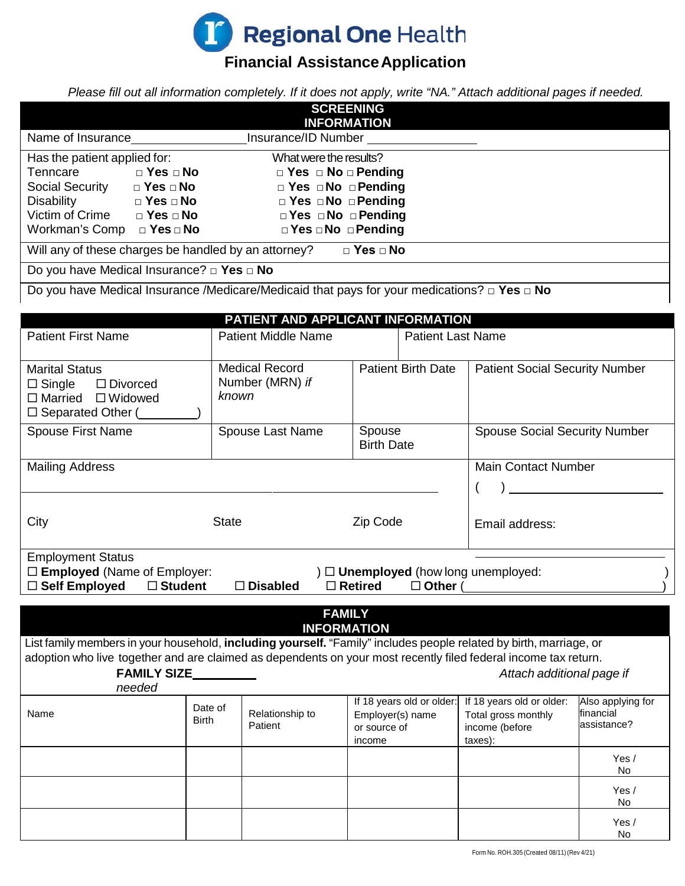

# **Financial AssistanceApplication**

*Please fill out all information completely. If it does not apply, write "NA." Attach additional pages if needed.*

| <b>SCREENING</b><br><b>INFORMATION</b>                                                                                                                                                                                                                                                                                                      |                                                       |                                                                                                                                                                              |                                                                         |                |                                                                               |                                               |  |
|---------------------------------------------------------------------------------------------------------------------------------------------------------------------------------------------------------------------------------------------------------------------------------------------------------------------------------------------|-------------------------------------------------------|------------------------------------------------------------------------------------------------------------------------------------------------------------------------------|-------------------------------------------------------------------------|----------------|-------------------------------------------------------------------------------|-----------------------------------------------|--|
|                                                                                                                                                                                                                                                                                                                                             | Name of Insurance <b>Name of Insurance</b> /ID Number |                                                                                                                                                                              |                                                                         |                |                                                                               |                                               |  |
| Has the patient applied for:<br>Tenncare<br>$\Box$ Yes $\Box$ No<br>Social Security DYes DNo<br>$\Box$ Yes $\Box$ No<br>Disability<br>Victim of Crime $\Box$ Yes $\Box$ No<br>Workman's Comp $\Box$ Yes $\Box$ No                                                                                                                           |                                                       | What were the results?<br>$\Box$ Yes $\Box$ No $\Box$ Pending<br>$\Box$ Yes $\Box$ No $\Box$ Pending<br>□ Yes □ No □ Pending<br>□ Yes □ No □ Pending<br>□ Yes □ No □ Pending |                                                                         |                |                                                                               |                                               |  |
| $\Box$ Yes $\Box$ No<br>Will any of these charges be handled by an attorney?<br>Do you have Medical Insurance? $\Box$ Yes $\Box$ No                                                                                                                                                                                                         |                                                       |                                                                                                                                                                              |                                                                         |                |                                                                               |                                               |  |
| Do you have Medical Insurance /Medicare/Medicaid that pays for your medications? $\Box$ Yes $\Box$ No<br>PATIENT AND APPLICANT INFORMATION                                                                                                                                                                                                  |                                                       |                                                                                                                                                                              |                                                                         |                |                                                                               |                                               |  |
| <b>Patient First Name</b>                                                                                                                                                                                                                                                                                                                   |                                                       | <b>Patient Middle Name</b>                                                                                                                                                   | <b>Patient Last Name</b>                                                |                |                                                                               |                                               |  |
| <b>Marital Status</b><br>$\Box$ Single<br>$\Box$ Divorced<br>$\Box$ Married $\Box$ Widowed<br>$\Box$ Separated Other ( $\Box$                                                                                                                                                                                                               | known                                                 | <b>Medical Record</b><br>Number (MRN) if                                                                                                                                     | <b>Patient Birth Date</b>                                               |                | <b>Patient Social Security Number</b>                                         |                                               |  |
| Spouse First Name                                                                                                                                                                                                                                                                                                                           |                                                       | <b>Spouse Last Name</b>                                                                                                                                                      | Spouse<br><b>Birth Date</b>                                             |                | <b>Spouse Social Security Number</b>                                          |                                               |  |
| <b>Mailing Address</b>                                                                                                                                                                                                                                                                                                                      |                                                       |                                                                                                                                                                              |                                                                         |                | <b>Main Contact Number</b>                                                    |                                               |  |
| City<br><b>State</b>                                                                                                                                                                                                                                                                                                                        |                                                       | Zip Code                                                                                                                                                                     |                                                                         | Email address: |                                                                               |                                               |  |
| <b>Employment Status</b><br>$\Box$ <b>Employed</b> (Name of Employer:<br>$\mathcal{A}$ $\square$ Unemployed (how long unemployed:<br>□ Self Employed<br>$\Box$ Student<br>$\Box$ Retired<br>$\Box$ Disabled<br>$\Box$ Other (                                                                                                               |                                                       |                                                                                                                                                                              |                                                                         |                |                                                                               |                                               |  |
| <b>FAMILY</b><br><b>INFORMATION</b><br>List family members in your household, including yourself. "Family" includes people related by birth, marriage, or<br>adoption who live together and are claimed as dependents on your most recently filed federal income tax return.<br>FAMILY SIZE_________<br>Attach additional page if<br>needed |                                                       |                                                                                                                                                                              |                                                                         |                |                                                                               |                                               |  |
| Name                                                                                                                                                                                                                                                                                                                                        | Date of<br><b>Birth</b>                               | Relationship to<br>Patient                                                                                                                                                   | If 18 years old or older:<br>Employer(s) name<br>or source of<br>income |                | If 18 years old or older:<br>Total gross monthly<br>income (before<br>taxes): | Also applying for<br>financial<br>assistance? |  |
|                                                                                                                                                                                                                                                                                                                                             |                                                       |                                                                                                                                                                              |                                                                         |                |                                                                               | Yes $/$<br>No                                 |  |
|                                                                                                                                                                                                                                                                                                                                             |                                                       |                                                                                                                                                                              |                                                                         |                |                                                                               | Yes $/$<br>No                                 |  |
|                                                                                                                                                                                                                                                                                                                                             |                                                       |                                                                                                                                                                              |                                                                         |                |                                                                               | Yes /<br>No                                   |  |